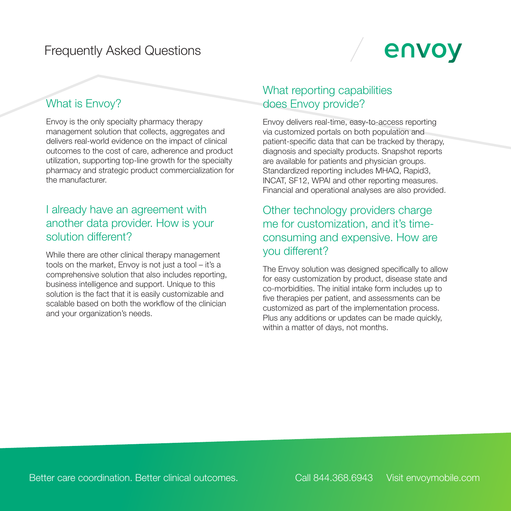## Frequently Asked Questions



#### What is Envoy?

Envoy is the only specialty pharmacy therapy management solution that collects, aggregates and delivers real-world evidence on the impact of clinical outcomes to the cost of care, adherence and product utilization, supporting top-line growth for the specialty pharmacy and strategic product commercialization for the manufacturer.

#### I already have an agreement with another data provider. How is your solution different?

While there are other clinical therapy management tools on the market, Envoy is not just a tool – it's a comprehensive solution that also includes reporting, business intelligence and support. Unique to this solution is the fact that it is easily customizable and scalable based on both the workflow of the clinician and your organization's needs.

### What reporting capabilities does Envoy provide?

Envoy delivers real-time, easy-to-access reporting via customized portals on both population and patient-specific data that can be tracked by therapy, diagnosis and specialty products. Snapshot reports are available for patients and physician groups. Standardized reporting includes MHAQ, Rapid3, INCAT, SF12, WPAI and other reporting measures. Financial and operational analyses are also provided.

#### Other technology providers charge me for customization, and it's timeconsuming and expensive. How are you different?

The Envoy solution was designed specifically to allow for easy customization by product, disease state and co-morbidities. The initial intake form includes up to five therapies per patient, and assessments can be customized as part of the implementation process. Plus any additions or updates can be made quickly, within a matter of days, not months.